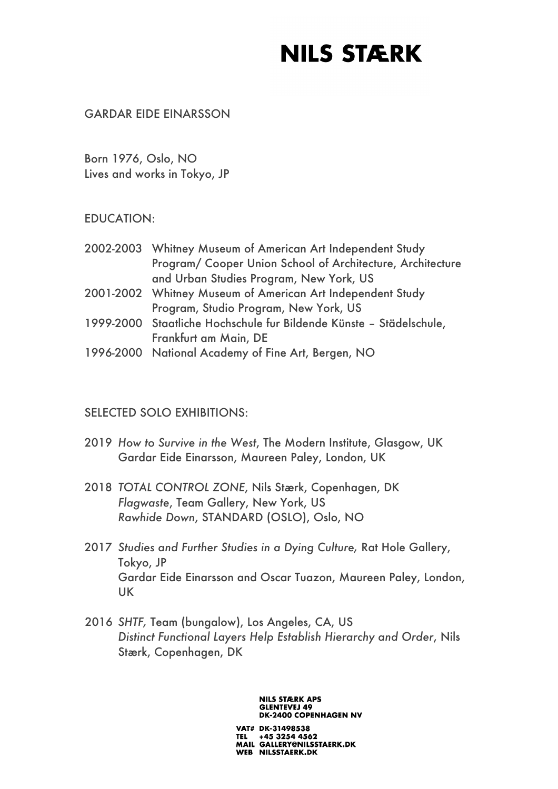#### GARDAR EIDE EINARSSON

Born 1976, Oslo, NO Lives and works in Tokyo, JP

#### EDUCATION:

| 2002-2003 Whitney Museum of American Art Independent Study          |
|---------------------------------------------------------------------|
| Program/ Cooper Union School of Architecture, Architecture          |
| and Urban Studies Program, New York, US                             |
| 2001-2002 Whitney Museum of American Art Independent Study          |
| Program, Studio Program, New York, US                               |
| 1999-2000 Staatliche Hochschule fur Bildende Künste - Städelschule, |
| Frankfurt am Main, DE                                               |
| 1996-2000 National Academy of Fine Art, Bergen, NO                  |

#### SELECTED SOLO EXHIBITIONS:

- 2019 *How to Survive in the West*, The Modern Institute, Glasgow, UK Gardar Eide Einarsson, Maureen Paley, London, UK
- 2018 *TOTAL CONTROL ZONE*, Nils Stærk, Copenhagen, DK *Flagwaste*, Team Gallery, New York, US *Rawhide Down*, STANDARD (OSLO), Oslo, NO
- 2017 *Studies and Further Studies in a Dying Culture,* Rat Hole Gallery, Tokyo, JP Gardar Eide Einarsson and Oscar Tuazon, Maureen Paley, London, UK
- 2016 *SHTF,* Team (bungalow), Los Angeles, CA, US *Distinct Functional Layers Help Establish Hierarchy and Order*, Nils Stærk, Copenhagen, DK

#### **NILS STÆRK APS GLENTEVEJ 49 DK-2400 COPENHAGEN NV**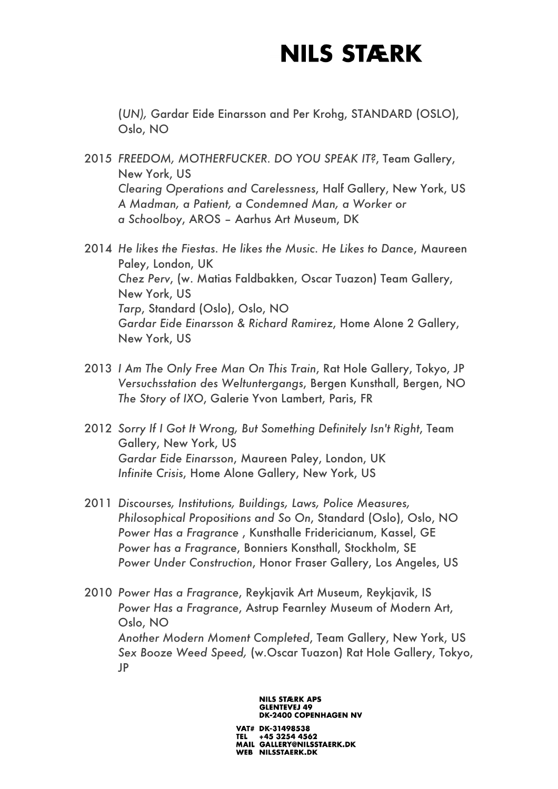(*UN),* Gardar Eide Einarsson and Per Krohg, STANDARD (OSLO), Oslo, NO

- 2015 *FREEDOM, MOTHERFUCKER. DO YOU SPEAK IT?*, Team Gallery, New York, US *Clearing Operations and Carelessness*, Half Gallery, New York, US *A Madman, a Patient, a Condemned Man, a Worker or a Schoolboy*, AROS – Aarhus Art Museum, DK
- 2014 *He likes the Fiestas. He likes the Music. He Likes to Dance*, Maureen Paley, London, UK *Chez Perv*, (w. Matias Faldbakken, Oscar Tuazon) Team Gallery, New York, US *Tarp*, Standard (Oslo), Oslo, NO *Gardar Eide Einarsson & Richard Ramirez*, Home Alone 2 Gallery, New York, US
- 2013 *I Am The Only Free Man On This Train*, Rat Hole Gallery, Tokyo, JP *Versuchsstation des Weltuntergangs*, Bergen Kunsthall, Bergen, NO *The Story of IXO*, Galerie Yvon Lambert, Paris, FR
- 2012 *Sorry If I Got It Wrong, But Something Definitely Isn't Right*, Team Gallery, New York, US *Gardar Eide Einarsson*, Maureen Paley, London, UK *Infinite Crisis*, Home Alone Gallery, New York, US
- 2011 *Discourses, Institutions, Buildings, Laws, Police Measures, Philosophical Propositions and So On*, Standard (Oslo), Oslo, NO *Power Has a Fragrance* , Kunsthalle Fridericianum, Kassel, GE *Power has a Fragrance*, Bonniers Konsthall, Stockholm, SE *Power Under Construction*, Honor Fraser Gallery, Los Angeles, US
- 2010 *Power Has a Fragrance*, Reykjavik Art Museum, Reykjavik, IS *Power Has a Fragrance*, Astrup Fearnley Museum of Modern Art, Oslo, NO *Another Modern Moment Completed*, Team Gallery, New York, US *Sex Booze Weed Speed,* (w.Oscar Tuazon) Rat Hole Gallery, Tokyo, JP

**DK-2400 COPENHAGEN NV** VAT# DK-31498538 TEL +45 3254 4562<br>MAIL GALLERY@NILSSTAERK.DK WEB NILSSTAERK.DK

**NILS STÆRK APS GLENTEVEJ 49**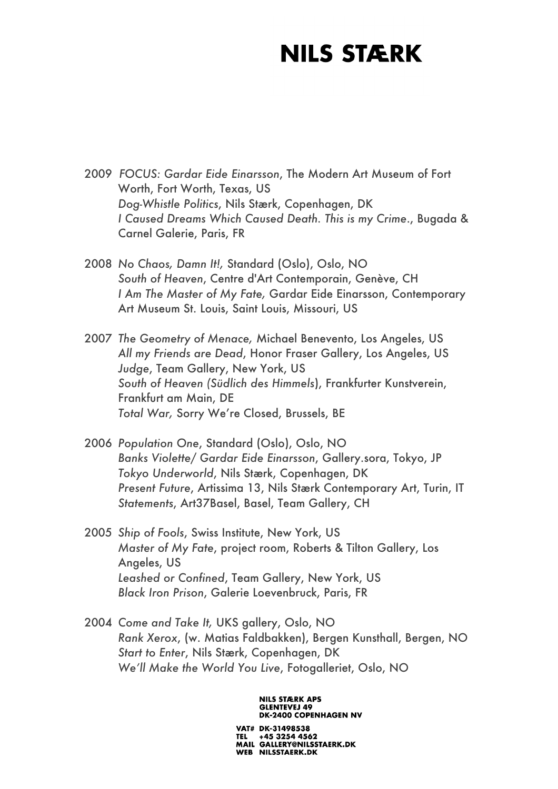- 2009 *FOCUS: Gardar Eide Einarsson*, The Modern Art Museum of Fort Worth, Fort Worth, Texas, US *Dog-Whistle Politics*, Nils Stærk, Copenhagen, DK *I Caused Dreams Which Caused Death. This is my Crime*., Bugada & Carnel Galerie, Paris, FR
- 2008 *No Chaos, Damn It!,* Standard (Oslo), Oslo, NO *South of Heaven*, Centre d'Art Contemporain, Genève, CH *I Am The Master of My Fate,* Gardar Eide Einarsson, Contemporary Art Museum St. Louis, Saint Louis, Missouri, US
- 2007 *The Geometry of Menace,* Michael Benevento, Los Angeles, US *All my Friends are Dead*, Honor Fraser Gallery, Los Angeles, US *Judge*, Team Gallery, New York, US *South of Heaven (Südlich des Himmels*), Frankfurter Kunstverein, Frankfurt am Main, DE *Total War,* Sorry We're Closed, Brussels, BE
- 2006 *Population One*, Standard (Oslo), Oslo, NO *Banks Violette/ Gardar Eide Einarsson*, Gallery.sora, Tokyo, JP *Tokyo Underworld*, Nils Stærk, Copenhagen, DK *Present Future*, Artissima 13, Nils Stærk Contemporary Art, Turin, IT *Statements*, Art37Basel, Basel, Team Gallery, CH
- 2005 *Ship of Fools*, Swiss Institute, New York, US *Master of My Fate*, project room, Roberts & Tilton Gallery, Los Angeles, US *Leashed or Confined*, Team Gallery, New York, US *Black Iron Prison*, Galerie Loevenbruck, Paris, FR
- 2004 *Come and Take It,* UKS gallery, Oslo, NO *Rank Xerox*, (w. Matias Faldbakken), Bergen Kunsthall, Bergen, NO *Start to Enter*, Nils Stærk, Copenhagen, DK *We'll Make the World You Live*, Fotogalleriet, Oslo, NO

#### **NILS STÆRK APS GLENTEVEJ 49 DK-2400 COPENHAGEN NV**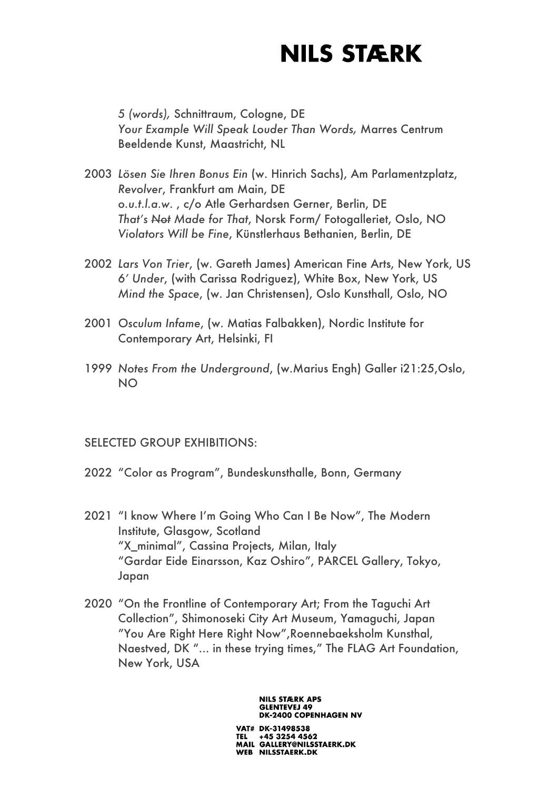*5 (words),* Schnittraum, Cologne, DE *Your Example Will Speak Louder Than Words,* Marres Centrum Beeldende Kunst, Maastricht, NL

- 2003 *Lösen Sie Ihren Bonus Ein* (w. Hinrich Sachs), Am Parlamentzplatz, *Revolver*, Frankfurt am Main, DE *o.u.t.l.a.w*. , c/o Atle Gerhardsen Gerner, Berlin, DE *That's Not Made for That*, Norsk Form/ Fotogalleriet, Oslo, NO *Violators Will be Fine*, Künstlerhaus Bethanien, Berlin, DE
- 2002 *Lars Von Trier*, (w. Gareth James) American Fine Arts, New York, US *6' Under*, (with Carissa Rodriguez), White Box, New York, US *Mind the Space*, (w. Jan Christensen), Oslo Kunsthall, Oslo, NO
- 2001 *Osculum Infame*, (w. Matias Falbakken), Nordic Institute for Contemporary Art, Helsinki, FI
- 1999 *Notes From the Underground*, (w.Marius Engh) Galler i21:25,Oslo, NO

#### SELECTED GROUP EXHIBITIONS:

- 2022 "Color as Program", Bundeskunsthalle, Bonn, Germany
- 2021 "I know Where I'm Going Who Can I Be Now", The Modern Institute, Glasgow, Scotland "X\_minimal", Cassina Projects, Milan, Italy "Gardar Eide Einarsson, Kaz Oshiro", PARCEL Gallery, Tokyo, Japan
- 2020 "On the Frontline of Contemporary Art; From the Taguchi Art Collection", Shimonoseki City Art Museum, Yamaguchi, Japan "You Are Right Here Right Now",Roennebaeksholm Kunsthal, Naestved, DK "... in these trying times," The FLAG Art Foundation, New York, USA

#### **NILS STÆRK APS GLENTEVEJ 49 DK-2400 COPENHAGEN NV**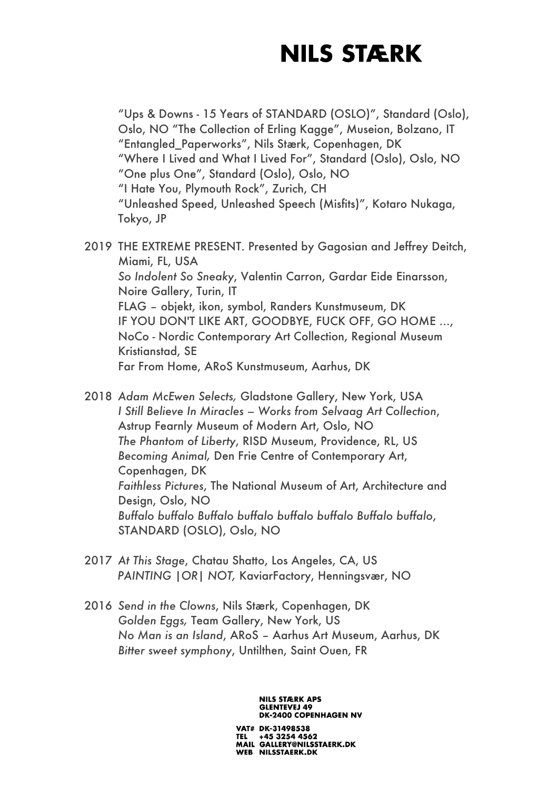"Ups & Downs - 15 Years of STANDARD (OSLO)", Standard (Oslo), Oslo, NO "The Collection of Erling Kagge", Museion, Bolzano, IT "Entangled\_Paperworks", Nils Stærk, Copenhagen, DK "Where I Lived and What I Lived For", Standard (Oslo), Oslo, NO "One plus One", Standard (Oslo), Oslo, NO "I Hate You, Plymouth Rock", Zurich, CH "Unleashed Speed, Unleashed Speech (Misfits)", Kotaro Nukaga, Tokyo, JP

- 2019 THE EXTREME PRESENT. Presented by Gagosian and Jeffrey Deitch, Miami, FL, USA *So Indolent So Sneaky*, Valentin Carron, Gardar Eide Einarsson, Noire Gallery, Turin, IT FLAG – objekt, ikon, symbol, Randers Kunstmuseum, DK IF YOU DON'T LIKE ART, GOODBYE, FUCK OFF, GO HOME …, NoCo - Nordic Contemporary Art Collection, Regional Museum Kristianstad, SE Far From Home, ARoS Kunstmuseum, Aarhus, DK
- 2018 *Adam McEwen Selects,* Gladstone Gallery, New York, USA *I Still Believe In Miracles – Works from Selvaag Art Collection*, Astrup Fearnly Museum of Modern Art, Oslo, NO *The Phantom of Liberty*, RISD Museum, Providence, RL, US *Becoming Animal,* Den Frie Centre of Contemporary Art, Copenhagen, DK *Faithless Pictures*, The National Museum of Art, Architecture and Design, Oslo, NO *Buffalo buffalo Buffalo buffalo buffalo buffalo Buffalo buffalo*, STANDARD (OSLO), Oslo, NO
- 2017 *At This Stage*, Chatau Shatto, Los Angeles, CA, US *PAINTING |OR| NOT,* KaviarFactory, Henningsvær, NO
- 2016 *Send in the Clowns*, Nils Stærk, Copenhagen, DK *Golden Eggs,* Team Gallery, New York, US *No Man is an Island*, ARoS – Aarhus Art Museum, Aarhus, DK *Bitter sweet symphony*, Untilthen, Saint Ouen, FR

#### **NILS STÆRK APS GLENTEVEJ 49 DK-2400 COPENHAGEN NV**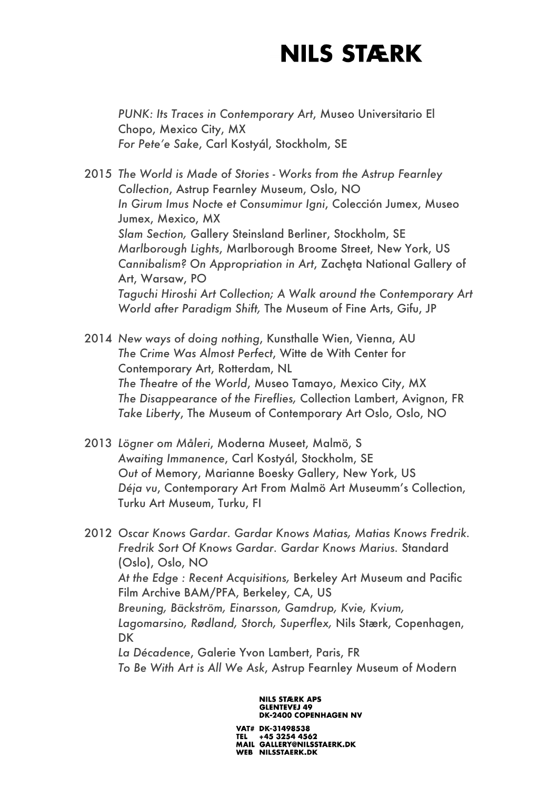*PUNK: Its Traces in Contemporary Art*, Museo Universitario El Chopo, Mexico City, MX *For Pete'e Sake*, Carl Kostyál, Stockholm, SE

2015 *The World is Made of Stories* - *Works from the Astrup Fearnley Collection*, Astrup Fearnley Museum, Oslo, NO *In Girum Imus Nocte et Consumimur Igni*, Colección Jumex, Museo Jumex, Mexico, MX *Slam Section,* Gallery Steinsland Berliner, Stockholm, SE *Marlborough Lights*, Marlborough Broome Street, New York, US *Cannibalism? On Appropriation in Art*, Zachęta National Gallery of Art, Warsaw, PO *Taguchi Hiroshi Art Collection; A Walk around the Contemporary Art World after Paradigm Shift,* The Museum of Fine Arts, Gifu, JP

2014 *New ways of doing nothing*, Kunsthalle Wien, Vienna, AU *The Crime Was Almost Perfect*, Witte de With Center for Contemporary Art, Rotterdam, NL *The Theatre of the World*, Museo Tamayo, Mexico City, MX *The Disappearance of the Fireflies,* Collection Lambert, Avignon, FR *Take Liberty*, The Museum of Contemporary Art Oslo, Oslo, NO

- 2013 *Lögner om Måleri*, Moderna Museet, Malmö, S *Awaiting Immanence*, Carl Kostyál, Stockholm, SE *Out of* Memory, Marianne Boesky Gallery, New York, US *Déja vu*, Contemporary Art From Malmö Art Museumm's Collection, Turku Art Museum, Turku, FI
- 2012 *Oscar Knows Gardar. Gardar Knows Matias, Matias Knows Fredrik. Fredrik Sort Of Knows Gardar. Gardar Knows Marius.* Standard (Oslo), Oslo, NO *At the Edge : Recent Acquisitions,* Berkeley Art Museum and Pacific Film Archive BAM/PFA, Berkeley, CA, US *Breuning, Bäckström, Einarsson, Gamdrup, Kvie, Kvium, Lagomarsino, Rødland, Storch, Superflex,* Nils Stærk, Copenhagen, **DK** *La Décadence*, Galerie Yvon Lambert, Paris, FR

*To Be With Art is All We Ask*, Astrup Fearnley Museum of Modern

**NILS STÆRK APS GLENTEVEJ 49 DK-2400 COPENHAGEN NV**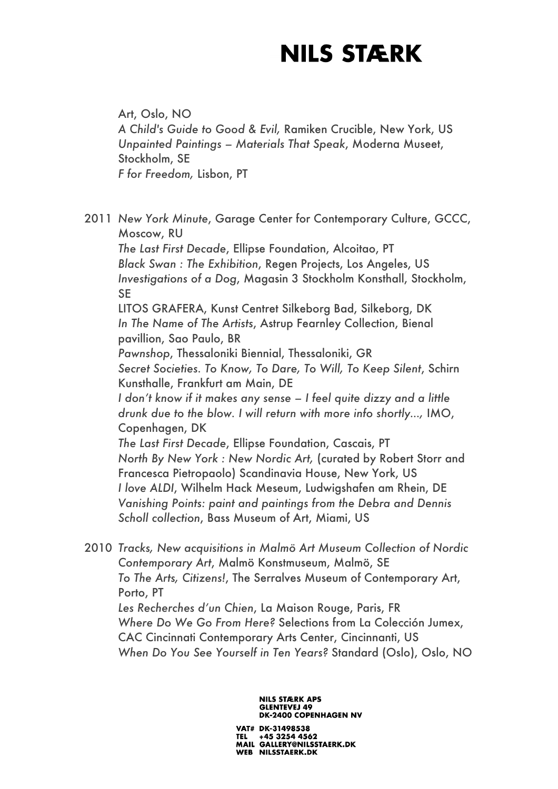Art, Oslo, NO *A Child's Guide to Good & Evil,* Ramiken Crucible, New York, US *Unpainted Paintings – Materials That Speak*, Moderna Museet, Stockholm, SE *F for Freedom,* Lisbon, PT

2011 *New York Minute*, Garage Center for Contemporary Culture, GCCC, Moscow, RU *The Last First Decade*, Ellipse Foundation, Alcoitao, PT *Black Swan : The Exhibition*, Regen Projects, Los Angeles, US *Investigations of a Dog*, Magasin 3 Stockholm Konsthall, Stockholm, SE LITOS GRAFERA, Kunst Centret Silkeborg Bad, Silkeborg, DK *In The Name of The Artists*, Astrup Fearnley Collection, Bienal pavillion, Sao Paulo, BR *Pawnshop*, Thessaloniki Biennial, Thessaloniki, GR *Secret Societies. To Know, To Dare, To Will, To Keep Silent*, Schirn Kunsthalle, Frankfurt am Main, DE *I don't know if it makes any sense – I feel quite dizzy and a little drunk due to the blow. I will return with more info shortly…,* IMO, Copenhagen, DK *The Last First Decade*, Ellipse Foundation, Cascais, PT *North By New York : New Nordic Art,* (curated by Robert Storr and Francesca Pietropaolo) Scandinavia House, New York, US *I love ALDI*, Wilhelm Hack Meseum, Ludwigshafen am Rhein, DE *Vanishing Points: paint and paintings from the Debra and Dennis Scholl collection*, Bass Museum of Art, Miami, US

2010 *Tracks, New acquisitions in Malmö Art Museum Collection of Nordic Contemporary Art*, Malmö Konstmuseum, Malmö, SE *To The Arts, Citizens!*, The Serralves Museum of Contemporary Art, Porto, PT *Les Recherches d'un Chien*, La Maison Rouge, Paris, FR *Where Do We Go From Here?* Selections from La Colección Jumex, CAC Cincinnati Contemporary Arts Center, Cincinnanti, US *When Do You See Yourself in Ten Years?* Standard (Oslo), Oslo, NO

#### **NILS STÆRK APS GLENTEVEJ 49 DK-2400 COPENHAGEN NV**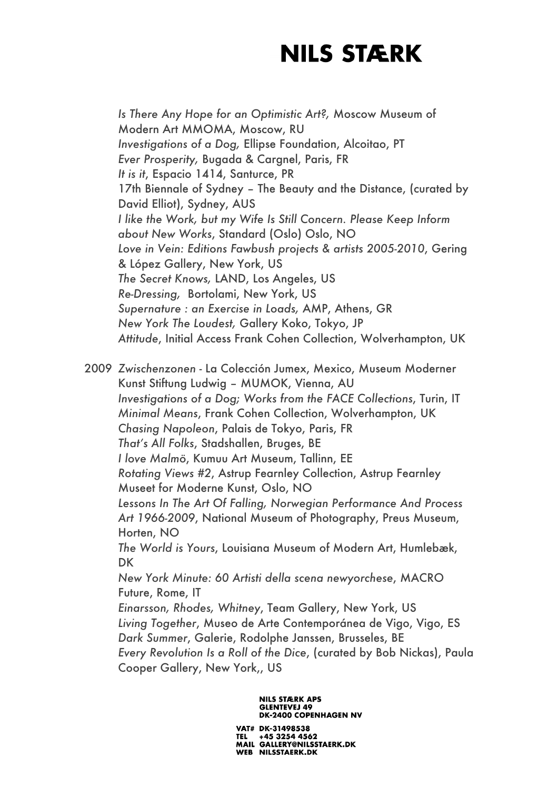*Is There Any Hope for an Optimistic Art?,* Moscow Museum of Modern Art MMOMA, Moscow, RU *Investigations of a Dog,* Ellipse Foundation, Alcoitao, PT *Ever Prosperity,* Bugada & Cargnel, Paris, FR *It is it*, Espacio 1414, Santurce, PR 17th Biennale of Sydney – The Beauty and the Distance, (curated by David Elliot), Sydney, AUS *I like the Work, but my Wife Is Still Concern. Please Keep Inform about New Works*, Standard (Oslo) Oslo, NO *Love in Vein: Editions Fawbush projects & artists 2005-2010*, Gering & López Gallery, New York, US *The Secret Knows,* LAND, Los Angeles, US *Re-Dressing,* Bortolami, New York, US *Supernature : an Exercise in Loads,* AMP, Athens, GR *New York The Loudest,* Gallery Koko, Tokyo, JP *Attitude*, Initial Access Frank Cohen Collection, Wolverhampton, UK

2009 *Zwischenzonen* - La Colección Jumex, Mexico, Museum Moderner Kunst Stiftung Ludwig – MUMOK, Vienna, AU *Investigations of a Dog; Works from the FACE Collections*, Turin, IT *Minimal Means*, Frank Cohen Collection, Wolverhampton, UK *Chasing Napoleon*, Palais de Tokyo, Paris, FR *That's All Folks*, Stadshallen, Bruges, BE *I love Malmö*, Kumuu Art Museum, Tallinn, EE *Rotating Views #2*, Astrup Fearnley Collection, Astrup Fearnley Museet for Moderne Kunst, Oslo, NO *Lessons In The Art Of Falling, Norwegian Performance And Process Art 1966-2009*, National Museum of Photography, Preus Museum, Horten, NO *The World is Yours*, Louisiana Museum of Modern Art, Humlebæk, DK *New York Minute: 60 Artisti della scena newyorchese*, MACRO Future, Rome, IT *Einarsson, Rhodes, Whitney*, Team Gallery, New York, US *Living Together*, Museo de Arte Contemporánea de Vigo, Vigo, ES *Dark Summer*, Galerie, Rodolphe Janssen, Brusseles, BE *Every Revolution Is a Roll of the Dice*, (curated by Bob Nickas), Paula Cooper Gallery, New York,, US

> **NILS STÆRK APS GLENTEVEJ 49 DK-2400 COPENHAGEN NV**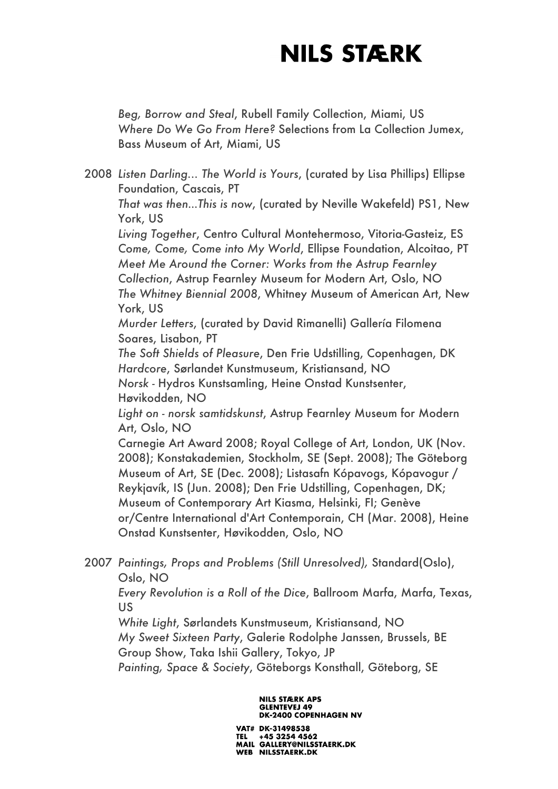*Beg, Borrow and Steal*, Rubell Family Collection, Miami, US *Where Do We Go From Here?* Selections from La Collection Jumex, Bass Museum of Art, Miami, US

2008 *Listen Darling... The World is Yours*, (curated by Lisa Phillips) Ellipse Foundation, Cascais, PT *That was then…This is now*, (curated by Neville Wakefeld) PS1, New York, US *Living Together*, Centro Cultural Montehermoso, Vitoria-Gasteiz, ES *Come, Come, Come into My World*, Ellipse Foundation, Alcoitao, PT *Meet Me Around the Corner: Works from the Astrup Fearnley Collection*, Astrup Fearnley Museum for Modern Art, Oslo, NO *The Whitney Biennial 2008*, Whitney Museum of American Art, New York, US *Murder Letters*, (curated by David Rimanelli) Gallería Filomena Soares, Lisabon, PT *The Soft Shields of Pleasure*, Den Frie Udstilling, Copenhagen, DK *Hardcore*, Sørlandet Kunstmuseum, Kristiansand, NO *Norsk -* Hydros Kunstsamling, Heine Onstad Kunstsenter, Høvikodden, NO *Light on - norsk samtidskunst*, Astrup Fearnley Museum for Modern Art, Oslo, NO Carnegie Art Award 2008; Royal College of Art, London, UK (Nov. 2008); Konstakademien, Stockholm, SE (Sept. 2008); The Göteborg Museum of Art, SE (Dec. 2008); Listasafn Kópavogs, Kópavogur / Reykjavík, IS (Jun. 2008); Den Frie Udstilling, Copenhagen, DK; Museum of Contemporary Art Kiasma, Helsinki, FI; Genève or/Centre International d'Art Contemporain, CH (Mar. 2008), Heine Onstad Kunstsenter, Høvikodden, Oslo, NO

2007 *Paintings, Props and Problems (Still Unresolved),* Standard(Oslo), Oslo, NO

*Every Revolution is a Roll of the Dice*, Ballroom Marfa, Marfa, Texas, US

*White Light*, Sørlandets Kunstmuseum, Kristiansand, NO *My Sweet Sixteen Party*, Galerie Rodolphe Janssen, Brussels, BE Group Show, Taka Ishii Gallery, Tokyo, JP

*Painting, Space & Society*, Göteborgs Konsthall, Göteborg, SE

#### **NILS STÆRK APS GLENTEVEJ 49 DK-2400 COPENHAGEN NV**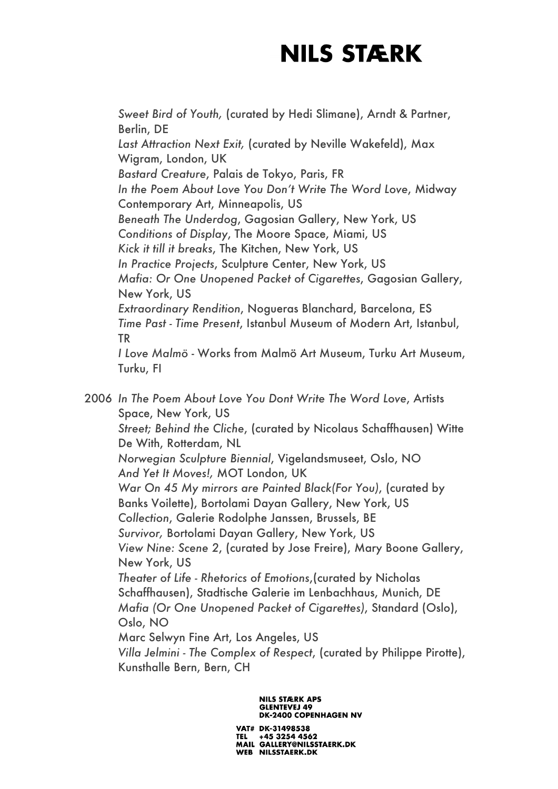*Sweet Bird of Youth,* (curated by Hedi Slimane), Arndt & Partner, Berlin, DE *Last Attraction Next Exit,* (curated by Neville Wakefeld), Max Wigram, London, UK *Bastard Creature*, Palais de Tokyo, Paris, FR *In the Poem About Love You Don't Write The Word Love*, Midway Contemporary Art, Minneapolis, US *Beneath The Underdog*, Gagosian Gallery, New York, US *Conditions of Display*, The Moore Space, Miami, US *Kick it till it breaks*, The Kitchen, New York, US *In Practice Projects*, Sculpture Center, New York, US *Mafia: Or One Unopened Packet of Cigarettes*, Gagosian Gallery, New York, US *Extraordinary Rendition*, Nogueras Blanchard, Barcelona, ES *Time Past - Time Present*, Istanbul Museum of Modern Art, Istanbul, TR *I Love Malmö* - Works from Malmö Art Museum, Turku Art Museum, Turku, FI

2006 *In The Poem About Love You Dont Write The Word Love*, Artists Space, New York, US *Street; Behind the Cliche*, (curated by Nicolaus Schaffhausen) Witte De With, Rotterdam, NL *Norwegian Sculpture Biennial*, Vigelandsmuseet, Oslo, NO *And Yet It Moves!,* MOT London, UK *War On 45 My mirrors are Painted Black(For You)*, (curated by Banks Voilette), Bortolami Dayan Gallery, New York, US *Collection*, Galerie Rodolphe Janssen, Brussels, BE *Survivor,* Bortolami Dayan Gallery, New York, US *View Nine: Scene 2*, (curated by Jose Freire), Mary Boone Gallery, New York, US *Theater of Life - Rhetorics of Emotions*,(curated by Nicholas Schaffhausen), Stadtische Galerie im Lenbachhaus, Munich, DE *Mafia (Or One Unopened Packet of Cigarettes)*, Standard (Oslo), Oslo, NO Marc Selwyn Fine Art, Los Angeles, US *Villa Jelmini - The Complex of Respect*, (curated by Philippe Pirotte), Kunsthalle Bern, Bern, CH

> **NILS STÆRK APS GLENTEVEJ 49 DK-2400 COPENHAGEN NV**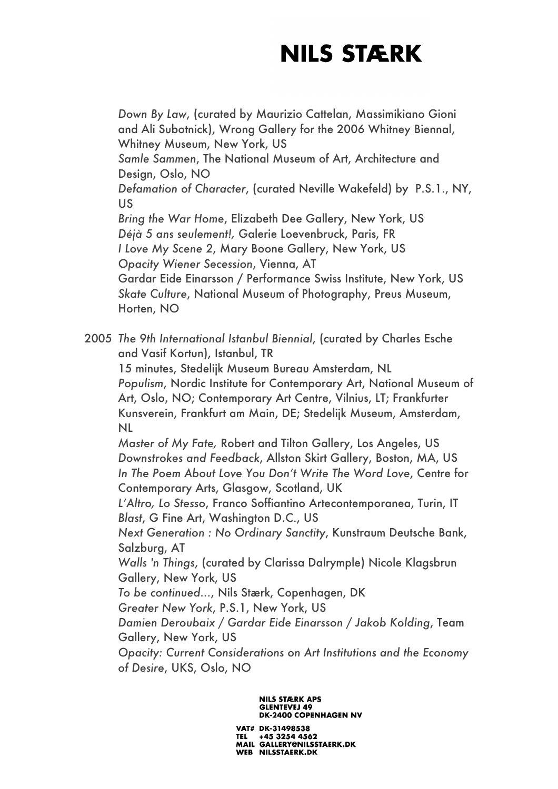*Down By Law*, (curated by Maurizio Cattelan, Massimikiano Gioni and Ali Subotnick), Wrong Gallery for the 2006 Whitney Biennal, Whitney Museum, New York, US *Samle Sammen*, The National Museum of Art, Architecture and Design, Oslo, NO *Defamation of Character*, (curated Neville Wakefeld) by P.S.1., NY, US *Bring the War Home*, Elizabeth Dee Gallery, New York, US *Déjà 5 ans seulement!,* Galerie Loevenbruck, Paris, FR *I Love My Scene 2*, Mary Boone Gallery, New York, US *Opacity Wiener Secession*, Vienna, AT Gardar Eide Einarsson / Performance Swiss Institute, New York, US *Skate Culture*, National Museum of Photography, Preus Museum, Horten, NO 2005 *The 9th International Istanbul Biennial*, (curated by Charles Esche and Vasif Kortun), Istanbul, TR 15 minutes, Stedelijk Museum Bureau Amsterdam, NL

*Populism*, Nordic Institute for Contemporary Art, National Museum of Art, Oslo, NO; Contemporary Art Centre, Vilnius, LT; Frankfurter Kunsverein, Frankfurt am Main, DE; Stedelijk Museum, Amsterdam, NL

*Master of My Fate,* Robert and Tilton Gallery, Los Angeles, US *Downstrokes and Feedback*, Allston Skirt Gallery, Boston, MA, US *In The Poem About Love You Don't Write The Word Love*, Centre for Contemporary Arts, Glasgow, Scotland, UK

*L'Altro, Lo Stesso*, Franco Soffiantino Artecontemporanea, Turin, IT *Blast*, G Fine Art, Washington D.C., US

*Next Generation : No Ordinary Sanctity*, Kunstraum Deutsche Bank, Salzburg, AT

*Walls 'n Things*, (curated by Clarissa Dalrymple) Nicole Klagsbrun Gallery, New York, US

*To be continued...*, Nils Stærk, Copenhagen, DK

*Greater New York*, P.S.1, New York, US

*Damien Deroubaix / Gardar Eide Einarsson / Jakob Kolding*, Team Gallery, New York, US

*Opacity: Current Considerations on Art Institutions and the Economy of Desire*, UKS, Oslo, NO

#### **NILS STÆRK APS GLENTEVEJ 49 DK-2400 COPENHAGEN NV**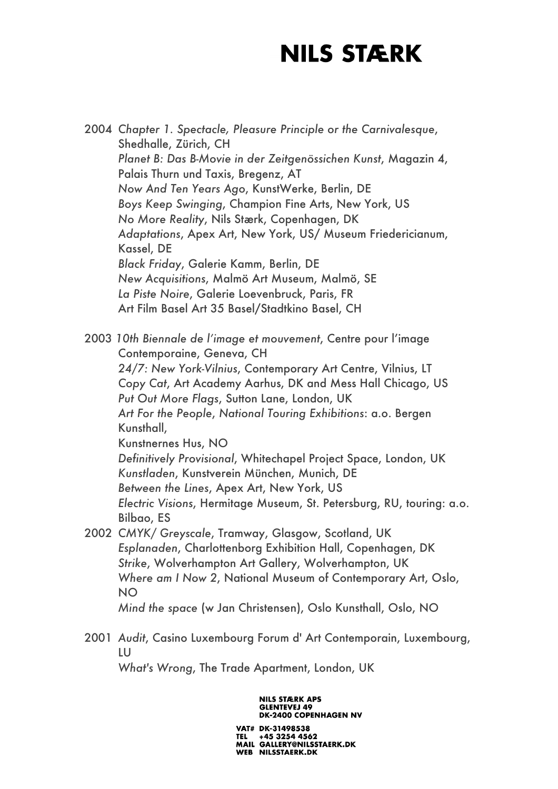2004 *Chapter 1. Spectacle, Pleasure Principle or the Carnivalesque*, Shedhalle, Zürich, CH *Planet B: Das B-Movie in der Zeitgenössichen Kunst*, Magazin 4, Palais Thurn und Taxis, Bregenz, AT *Now And Ten Years Ago*, KunstWerke, Berlin, DE *Boys Keep Swinging*, Champion Fine Arts, New York, US *No More Reality*, Nils Stærk, Copenhagen, DK *Adaptations*, Apex Art, New York, US/ Museum Friedericianum, Kassel, DE *Black Friday*, Galerie Kamm, Berlin, DE *New Acquisitions*, Malmö Art Museum, Malmö, SE *La Piste Noire*, Galerie Loevenbruck, Paris, FR Art Film Basel Art 35 Basel/Stadtkino Basel, CH 2003 *10th Biennale de l'image et mouvement*, Centre pour l'image Contemporaine, Geneva, CH *24/7: New York-Vilnius*, Contemporary Art Centre, Vilnius, LT *Copy Cat*, Art Academy Aarhus, DK and Mess Hall Chicago, US *Put Out More Flags*, Sutton Lane, London, UK *Art For the People*, *National Touring Exhibitions*: a.o. Bergen Kunsthall, Kunstnernes Hus, NO *Definitively Provisional*, Whitechapel Project Space, London, UK *Kunstladen*, Kunstverein München, Munich, DE *Between the Lines*, Apex Art, New York, US *Electric Visions*, Hermitage Museum, St. Petersburg, RU, touring: a.o. Bilbao, ES

- 2002 *CMYK/ Greyscale*, Tramway, Glasgow, Scotland, UK *Esplanaden*, Charlottenborg Exhibition Hall, Copenhagen, DK *Strike*, Wolverhampton Art Gallery, Wolverhampton, UK *Where am I Now 2*, National Museum of Contemporary Art, Oslo, NO *Mind the space* (w Jan Christensen), Oslo Kunsthall, Oslo, NO
- 2001 *Audit*, Casino Luxembourg Forum d' Art Contemporain, Luxembourg, LU

*What's Wrong*, The Trade Apartment, London, UK

**NILS STÆRK APS GLENTEVEJ 49 DK-2400 COPENHAGEN NV**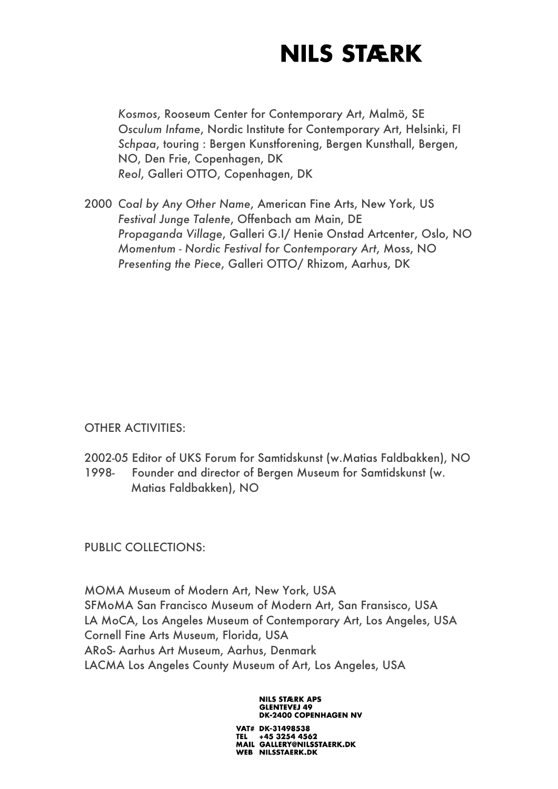*Kosmos*, Rooseum Center for Contemporary Art, Malmö, SE *Osculum Infame*, Nordic Institute for Contemporary Art, Helsinki, FI *Schpaa*, touring : Bergen Kunstforening, Bergen Kunsthall, Bergen, NO, Den Frie, Copenhagen, DK *Reol*, Galleri OTTO, Copenhagen, DK

2000 *Coal by Any Other Name*, American Fine Arts, New York, US *Festival Junge Talente*, Offenbach am Main, DE *Propaganda Village*, Galleri G.I/ Henie Onstad Artcenter, Oslo, NO *Momentum - Nordic Festival for Contemporary Art*, Moss, NO *Presenting the Piece*, Galleri OTTO/ Rhizom, Aarhus, DK

OTHER ACTIVITIES:

- 2002-05 Editor of UKS Forum for Samtidskunst (w.Matias Faldbakken), NO 1998- Founder and director of Bergen Museum for Samtidskunst (w.
- Matias Faldbakken), NO

PUBLIC COLLECTIONS:

MOMA Museum of Modern Art, New York, USA SFMoMA San Francisco Museum of Modern Art, San Fransisco, USA LA MoCA, Los Angeles Museum of Contemporary Art, Los Angeles, USA Cornell Fine Arts Museum, Florida, USA ARoS- Aarhus Art Museum, Aarhus, Denmark LACMA Los Angeles County Museum of Art, Los Angeles, USA

> **NILS STÆRK APS GLENTEVEJ 49 DK-2400 COPENHAGEN NV**